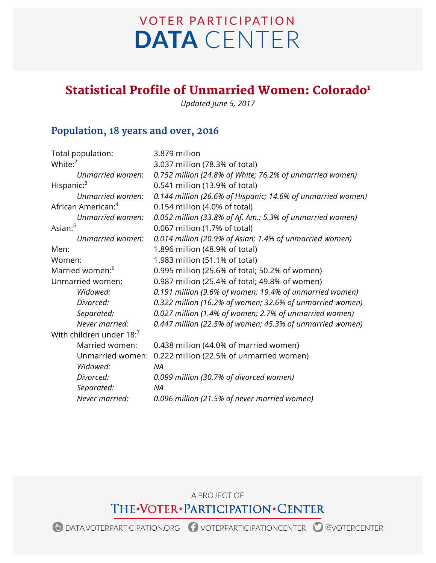# **VOTER PARTICIPATION DATA** CENTER

## Statistical Profile of Unmarried Women: Colorado<sup>1</sup>

*Updated June 5, 2017*

## **Population, 18 years and over, 2016**

| Total population:              | 3.879 million                                               |
|--------------------------------|-------------------------------------------------------------|
| White: $2^2$                   | 3.037 million (78.3% of total)                              |
| Unmarried women:               | 0.752 million (24.8% of White; 76.2% of unmarried women)    |
| Hispanic: <sup>3</sup>         | 0.541 million (13.9% of total)                              |
| Unmarried women:               | 0.144 million (26.6% of Hispanic; 14.6% of unmarried women) |
| African American: <sup>4</sup> | 0.154 million (4.0% of total)                               |
| Unmarried women:               | 0.052 million (33.8% of Af. Am.; 5.3% of unmarried women)   |
| Asian: <sup>5</sup>            | 0.067 million (1.7% of total)                               |
| Unmarried women:               | 0.014 million (20.9% of Asian; 1.4% of unmarried women)     |
| Men:                           | 1.896 million (48.9% of total)                              |
| Women:                         | 1.983 million (51.1% of total)                              |
| Married women: <sup>6</sup>    | 0.995 million (25.6% of total; 50.2% of women)              |
| Unmarried women:               | 0.987 million (25.4% of total; 49.8% of women)              |
| Widowed:                       | 0.191 million (9.6% of women; 19.4% of unmarried women)     |
| Divorced:                      | 0.322 million (16.2% of women; 32.6% of unmarried women)    |
| Separated:                     | 0.027 million (1.4% of women; 2.7% of unmarried women)      |
| Never married:                 | 0.447 million (22.5% of women; 45.3% of unmarried women)    |
| With children under 18:7       |                                                             |
| Married women:                 | 0.438 million (44.0% of married women)                      |
| Unmarried women:               | 0.222 million (22.5% of unmarried women)                    |
| Widowed:                       | NA                                                          |
| Divorced:                      | 0.099 million (30.7% of divorced women)                     |
| Separated:                     | <b>NA</b>                                                   |
| Never married:                 | 0.096 million (21.5% of never married women)                |

A PROJECT OF

THE\*VOTER\*PARTICIPATION\*CENTER

DATA.VOTERPARTICIPATION.ORG VOTERPARTICIPATIONCENTER @VOTERCENTER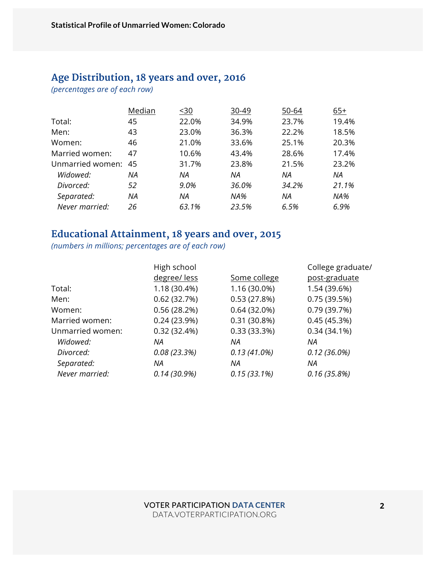## **Age Distribution, 18 years and over, 2016**

*(percentages are of each row)*

|                  | Median    | $30$  | 30-49 | 50-64 | $65+$ |
|------------------|-----------|-------|-------|-------|-------|
| Total:           | 45        | 22.0% | 34.9% | 23.7% | 19.4% |
| Men:             | 43        | 23.0% | 36.3% | 22.2% | 18.5% |
| Women:           | 46        | 21.0% | 33.6% | 25.1% | 20.3% |
| Married women:   | 47        | 10.6% | 43.4% | 28.6% | 17.4% |
| Unmarried women: | 45        | 31.7% | 23.8% | 21.5% | 23.2% |
| Widowed:         | ΝA        | ΝA    | ΝA    | ΝA    | ΝA    |
| Divorced:        | 52        | 9.0%  | 36.0% | 34.2% | 21.1% |
| Separated:       | <b>NA</b> | ΝA    | NA%   | ΝA    | NA%   |
| Never married:   | 26        | 63.1% | 23.5% | 6.5%  | 6.9%  |

#### **Educational Attainment, 18 years and over, 2015**

*(numbers in millions; percentages are of each row)*

|                  | High school  |                | College graduate/ |
|------------------|--------------|----------------|-------------------|
|                  | degree/less  | Some college   | post-graduate     |
| Total:           | 1.18 (30.4%) | 1.16 (30.0%)   | 1.54 (39.6%)      |
| Men:             | 0.62(32.7%)  | 0.53(27.8%)    | 0.75(39.5%)       |
| Women:           | 0.56(28.2%)  | 0.64(32.0%)    | 0.79(39.7%)       |
| Married women:   | 0.24(23.9%)  | $0.31(30.8\%)$ | 0.45(45.3%)       |
| Unmarried women: | 0.32(32.4%)  | 0.33(33.3%)    | $0.34(34.1\%)$    |
| Widowed:         | ΝA           | ΝA             | ΝA                |
| Divorced:        | 0.08(23.3%)  | $0.13(41.0\%)$ | $0.12(36.0\%)$    |
| Separated:       | ΝA           | ΝA             | ΝA                |
| Never married:   | 0.14(30.9%)  | 0.15(33.1%)    | 0.16(35.8%)       |
|                  |              |                |                   |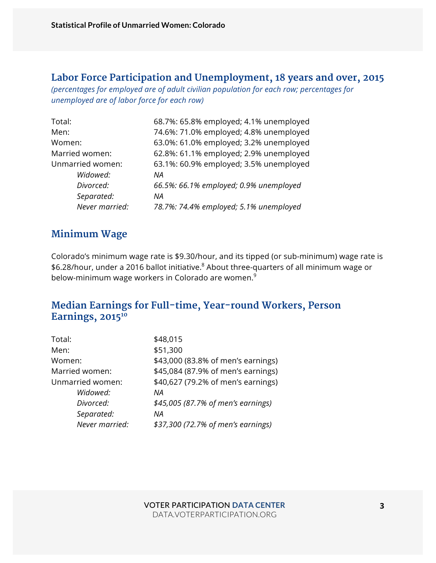#### **Labor Force Participation and Unemployment, 18 years and over, 2015**

*(percentages for employed are of adult civilian population for each row; percentages for unemployed are of labor force for each row)*

| Total:           | 68.7%: 65.8% employed; 4.1% unemployed |
|------------------|----------------------------------------|
| Men:             | 74.6%: 71.0% employed; 4.8% unemployed |
| Women:           | 63.0%: 61.0% employed; 3.2% unemployed |
| Married women:   | 62.8%: 61.1% employed; 2.9% unemployed |
| Unmarried women: | 63.1%: 60.9% employed; 3.5% unemployed |
| Widowed:         | ΝA                                     |
| Divorced:        | 66.5%: 66.1% employed; 0.9% unemployed |
| Separated:       | ΝA                                     |
| Never married:   | 78.7%: 74.4% employed; 5.1% unemployed |

#### **Minimum Wage**

Colorado's minimum wage rate is \$9.30/hour, and its tipped (or sub-minimum) wage rate is \$6.28/hour, under a 2016 ballot initiative.<sup>8</sup> About three-quarters of all minimum wage or below-minimum wage workers in Colorado are women.<sup>9</sup>

#### **Median Earnings for Full-time, Year-round Workers, Person**  Earnings, 2015<sup>10</sup>

| Total:           | \$48,015                           |
|------------------|------------------------------------|
| Men:             | \$51,300                           |
| Women:           | \$43,000 (83.8% of men's earnings) |
| Married women:   | \$45,084 (87.9% of men's earnings) |
| Unmarried women: | \$40,627 (79.2% of men's earnings) |
| Widowed:         | ΝA                                 |
| Divorced:        | \$45,005 (87.7% of men's earnings) |
| Separated:       | ΝA                                 |
| Never married:   | \$37,300 (72.7% of men's earnings) |
|                  |                                    |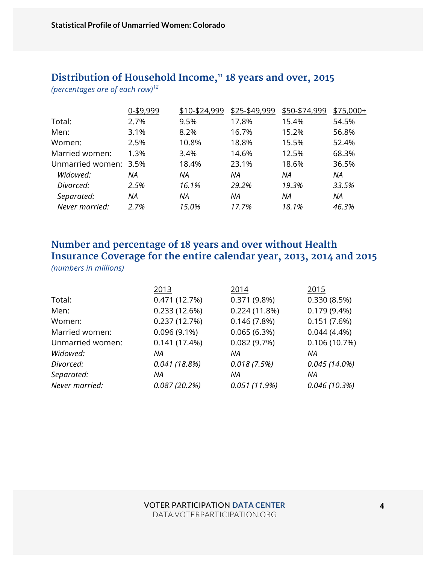# Distribution of Household Income,<sup>11</sup> 18 years and over, 2015

*(percentages are of each row)<sup>12</sup>*

|                       | 0-\$9,999 | \$10-\$24,999 | \$25-\$49,999 | \$50-\$74,999 | \$75,000+ |
|-----------------------|-----------|---------------|---------------|---------------|-----------|
| Total:                | 2.7%      | 9.5%          | 17.8%         | 15.4%         | 54.5%     |
| Men:                  | 3.1%      | 8.2%          | 16.7%         | 15.2%         | 56.8%     |
| Women:                | 2.5%      | 10.8%         | 18.8%         | 15.5%         | 52.4%     |
| Married women:        | 1.3%      | 3.4%          | 14.6%         | 12.5%         | 68.3%     |
| Unmarried women: 3.5% |           | 18.4%         | 23.1%         | 18.6%         | 36.5%     |
| Widowed:              | ΝA        | ΝA            | ΝA            | ΝA            | ΝA        |
| Divorced:             | 2.5%      | 16.1%         | 29.2%         | 19.3%         | 33.5%     |
| Separated:            | ΝA        | ΝA            | ΝA            | ΝA            | ΝA        |
| Never married:        | 2.7%      | 15.0%         | 17.7%         | 18.1%         | 46.3%     |

#### **Number and percentage of 18 years and over without Health Insurance Coverage for the entire calendar year, 2013, 2014 and 2015**  *(numbers in millions)*

|                  | 2013           | 2014           | 2015            |
|------------------|----------------|----------------|-----------------|
| Total:           | 0.471(12.7%)   | $0.371(9.8\%)$ | 0.330(8.5%)     |
| Men:             | 0.233(12.6%)   | 0.224(11.8%)   | $0.179(9.4\%)$  |
| Women:           | 0.237(12.7%)   | 0.146(7.8%)    | 0.151(7.6%)     |
| Married women:   | $0.096(9.1\%)$ | 0.065(6.3%)    | $0.044(4.4\%)$  |
| Unmarried women: | 0.141(17.4%)   | 0.082(9.7%)    | 0.106(10.7%)    |
| Widowed:         | ΝA             | ΝA             | ΝA              |
| Divorced:        | 0.041(18.8%)   | 0.018(7.5%)    | $0.045(14.0\%)$ |
| Separated:       | ΝA             | ΝA             | ΝA              |
| Never married:   | 0.087(20.2%)   | 0.051(11.9%)   | 0.046(10.3%)    |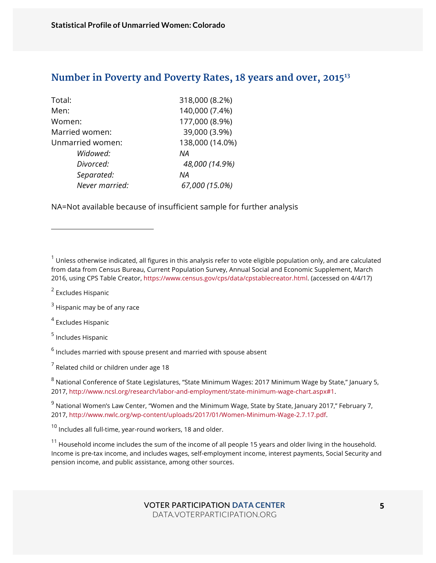#### **Number in Poverty and Poverty Rates, 18 years and over, 201513**

| Total:           | 318,000 (8.2%)  |
|------------------|-----------------|
| Men:             | 140,000 (7.4%)  |
| Women:           | 177,000 (8.9%)  |
| Married women:   | 39,000 (3.9%)   |
| Unmarried women: | 138,000 (14.0%) |
| Widowed:         | ΝA              |
| Divorced:        | 48,000 (14.9%)  |
| Separated:       | ΝA              |
| Never married:   | 67,000 (15.0%)  |
|                  |                 |

NA=Not available because of insufficient sample for further analysis

 $1$  Unless otherwise indicated, all figures in this analysis refer to vote eligible population only, and are calculated from data from Census Bureau, Current Population Survey, Annual Social and Economic Supplement, March 2016, using CPS Table Creator, https://www.census.gov/cps/data/cpstablecreator.html. (accessed on 4/4/17)

<sup>2</sup> Excludes Hispanic

l

 $3$  Hispanic may be of any race

<sup>4</sup> Excludes Hispanic

<sup>5</sup> Includes Hispanic

 $6$  Includes married with spouse present and married with spouse absent

 $<sup>7</sup>$  Related child or children under age 18</sup>

<sup>8</sup> National Conference of State Legislatures, "State Minimum Wages: 2017 Minimum Wage by State," January 5, 2017, http://www.ncsl.org/research/labor-and-employment/state-minimum-wage-chart.aspx#1.

 $9$  National Women's Law Center, "Women and the Minimum Wage, State by State, January 2017," February 7, 2017, http://www.nwlc.org/wp-content/uploads/2017/01/Women-Minimum-Wage-2.7.17.pdf.

 $10$  Includes all full-time, year-round workers, 18 and older.

 $11$  Household income includes the sum of the income of all people 15 years and older living in the household. Income is pre-tax income, and includes wages, self-employment income, interest payments, Social Security and pension income, and public assistance, among other sources.